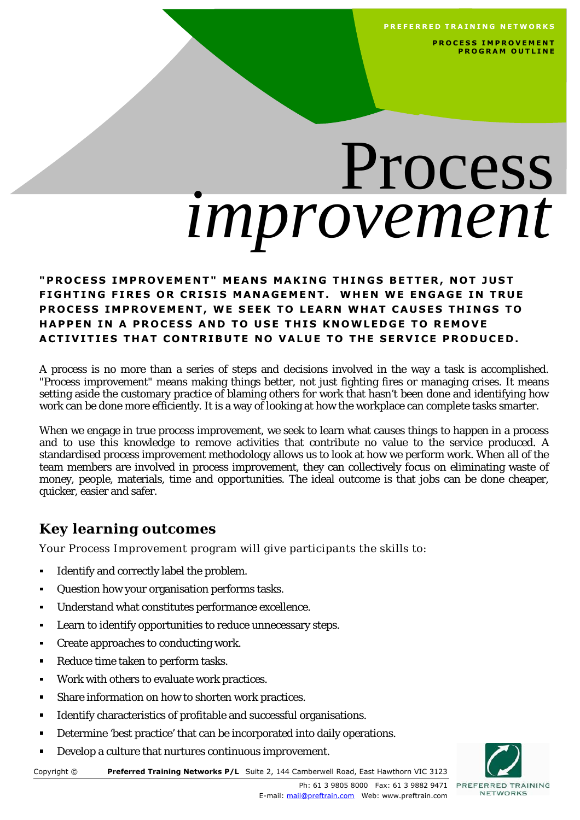**PREFERRED TRAINING NETWORKS** 

**PROCESS IMPROVEMENT P R O G R A M O U T L I N E** 

# Process *improvement*

#### "PROCESS IMPROVEMENT" MEANS MAKING THINGS BETTER, NOT JUST **FIGHTING FIRES OR CRISIS MANAGEMENT. WHEN WE ENGAGE IN TRUE** PROCESS IMPROVEMENT, WE SEEK TO LEARN WHAT CAUSES THINGS TO **HAPPEN IN A PROCESS AND TO USE THIS KNOWLEDGE TO REMOVE** ACTIVITIES THAT CONTRIBUTE NO VALUE TO THE SERVICE PRODUCED.

A process is no more than a series of steps and decisions involved in the way a task is accomplished. "Process improvement" means making things better, not just fighting fires or managing crises. It means setting aside the customary practice of blaming others for work that hasn't been done and identifying how work can be done more efficiently. It is a way of looking at how the workplace can complete tasks smarter.

When we engage in true process improvement, we seek to learn what causes things to happen in a process and to use this knowledge to remove activities that contribute no value to the service produced. A standardised process improvement methodology allows us to look at how we perform work. When all of the team members are involved in process improvement, they can collectively focus on eliminating waste of money, people, materials, time and opportunities. The ideal outcome is that jobs can be done cheaper, quicker, easier and safer.

### **Key learning outcomes**

Your Process Improvement program will give participants the skills to:

- $\blacksquare$ Identify and correctly label the problem.
- $\blacksquare$ Question how your organisation performs tasks.
- $\blacksquare$ Understand what constitutes performance excellence.
- Learn to identify opportunities to reduce unnecessary steps.  $\blacksquare$
- $\blacksquare$ Create approaches to conducting work.
- Reduce time taken to perform tasks.  $\blacksquare$
- Work with others to evaluate work practices.  $\blacksquare$
- Share information on how to shorten work practices.  $\blacksquare$
- Identify characteristics of profitable and successful organisations. Е
- Determine 'best practice' that can be incorporated into daily operations.  $\blacksquare$
- Develop a culture that nurtures continuous improvement.  $\blacksquare$



Copyright © **Preferred Training Networks P/L** Suite 2, 144 Camberwell Road, East Hawthorn VIC 3123